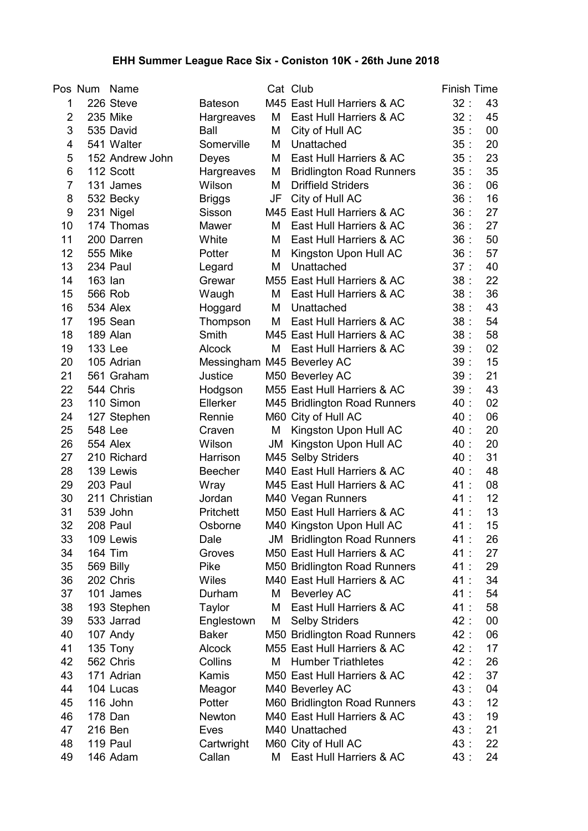## EHH Summer League Race Six - Coniston 10K - 26th June 2018

|                | Pos Num        | Name            |                            |    | Cat Club                        | <b>Finish Time</b> |                  |
|----------------|----------------|-----------------|----------------------------|----|---------------------------------|--------------------|------------------|
| 1              |                | 226 Steve       | <b>Bateson</b>             |    | M45 East Hull Harriers & AC     | 32:                | 43               |
| $\overline{2}$ |                | 235 Mike        | Hargreaves                 | M  | East Hull Harriers & AC         | 32:                | 45               |
| 3              |                | 535 David       | Ball                       | M  | City of Hull AC                 | 35:                | 00               |
| 4              |                | 541 Walter      | Somerville                 | М  | Unattached                      | 35:                | 20               |
| 5              |                | 152 Andrew John | Deyes                      | М  | East Hull Harriers & AC         | 35:                | 23               |
| 6              |                | 112 Scott       | Hargreaves                 | M  | <b>Bridlington Road Runners</b> | 35:                | 35               |
| $\overline{7}$ |                | 131 James       | Wilson                     | M  | <b>Driffield Striders</b>       | 36:                | 06               |
| 8              |                | 532 Becky       | <b>Briggs</b>              | JF | City of Hull AC                 | 36:                | 16               |
| 9              |                | 231 Nigel       | Sisson                     |    | M45 East Hull Harriers & AC     | 36:                | 27               |
| 10             |                | 174 Thomas      | Mawer                      | M  | East Hull Harriers & AC         | 36:                | 27               |
| 11             |                | 200 Darren      | White                      | М  | East Hull Harriers & AC         | 36:                | 50               |
| 12             |                | <b>555 Mike</b> | Potter                     | M  | Kingston Upon Hull AC           | 36:                | 57               |
| 13             |                | 234 Paul        | Legard                     | Μ  | Unattached                      | 37:                | 40               |
| 14             | 163 lan        |                 | Grewar                     |    | M55 East Hull Harriers & AC     | 38:                | 22               |
| 15             |                | 566 Rob         | Waugh                      | М  | East Hull Harriers & AC         | 38:                | 36               |
| 16             |                | 534 Alex        | Hoggard                    | M  | Unattached                      | 38:                | 43               |
| 17             |                | 195 Sean        | Thompson                   | М  | East Hull Harriers & AC         | 38:                | 54               |
| 18             |                | 189 Alan        | Smith                      |    | M45 East Hull Harriers & AC     | 38:                | 58               |
| 19             |                | 133 Lee         | <b>Alcock</b>              | М  | East Hull Harriers & AC         | 39:                | 02               |
| 20             |                | 105 Adrian      | Messingham M45 Beverley AC |    |                                 | 39:                | 15               |
| 21             |                | 561 Graham      | Justice                    |    | M50 Beverley AC                 | 39:                | 21               |
| 22             |                | 544 Chris       | Hodgson                    |    | M55 East Hull Harriers & AC     | 39:                | 43               |
| 23             |                | 110 Simon       | Ellerker                   |    | M45 Bridlington Road Runners    | 40 :               | 02               |
| 24             |                | 127 Stephen     | Rennie                     |    | M60 City of Hull AC             | 40:                | 06               |
| 25             | <b>548 Lee</b> |                 | Craven                     | M  | Kingston Upon Hull AC           | 40:                | 20               |
| 26             |                | 554 Alex        | Wilson                     | JM | Kingston Upon Hull AC           | 40:                | 20               |
| 27             |                | 210 Richard     | Harrison                   |    | M45 Selby Striders              | 40:                | 31               |
| 28             |                | 139 Lewis       | <b>Beecher</b>             |    | M40 East Hull Harriers & AC     | 40:                | 48               |
| 29             |                | 203 Paul        | Wray                       |    | M45 East Hull Harriers & AC     | 41 :               | 08               |
| 30             |                | 211 Christian   | Jordan                     |    | M40 Vegan Runners               | 41 :               | 12               |
| 31             |                | 539 John        | Pritchett                  |    | M50 East Hull Harriers & AC     | 41 :               | 13               |
| 32             |                | 208 Paul        | Osborne                    |    | M40 Kingston Upon Hull AC       | 41 :               | 15 <sub>15</sub> |
| 33             |                | 109 Lewis       | Dale                       | JM | <b>Bridlington Road Runners</b> | 41 :               | 26               |
| 34             |                | 164 Tim         | Groves                     |    | M50 East Hull Harriers & AC     | 41 :               | 27               |
| 35             |                | 569 Billy       | Pike                       |    | M50 Bridlington Road Runners    | 41 :               | 29               |
| 36             |                | 202 Chris       | <b>Wiles</b>               |    | M40 East Hull Harriers & AC     | 41 :               | 34               |
| 37             |                | 101 James       | Durham                     | М  | <b>Beverley AC</b>              | 41:                | 54               |
| 38             |                | 193 Stephen     | Taylor                     | M  | East Hull Harriers & AC         | 41:                | 58               |
| 39             |                | 533 Jarrad      | Englestown                 | M  | <b>Selby Striders</b>           | 42 :               | 00               |
| 40             |                | 107 Andy        | <b>Baker</b>               |    | M50 Bridlington Road Runners    | 42 :               | 06               |
| 41             |                | 135 Tony        | <b>Alcock</b>              |    | M55 East Hull Harriers & AC     | 42 :               | 17               |
| 42             |                | 562 Chris       | Collins                    | Μ  | <b>Humber Triathletes</b>       | 42 :               | 26               |
| 43             |                | 171 Adrian      | Kamis                      |    | M50 East Hull Harriers & AC     | 42 :               | 37               |
| 44             |                | 104 Lucas       | Meagor                     |    | M40 Beverley AC                 | 43:                | 04               |
| 45             |                | 116 John        | Potter                     |    | M60 Bridlington Road Runners    | 43:                | 12               |
| 46             |                | 178 Dan         | Newton                     |    | M40 East Hull Harriers & AC     | 43:                | 19               |
| 47             |                | 216 Ben         | Eves                       |    | M40 Unattached                  | 43:                | 21               |
| 48             |                | 119 Paul        | Cartwright                 |    | M60 City of Hull AC             | 43:                | 22               |
| 49             |                | 146 Adam        | Callan                     | М  | East Hull Harriers & AC         | 43:                | 24               |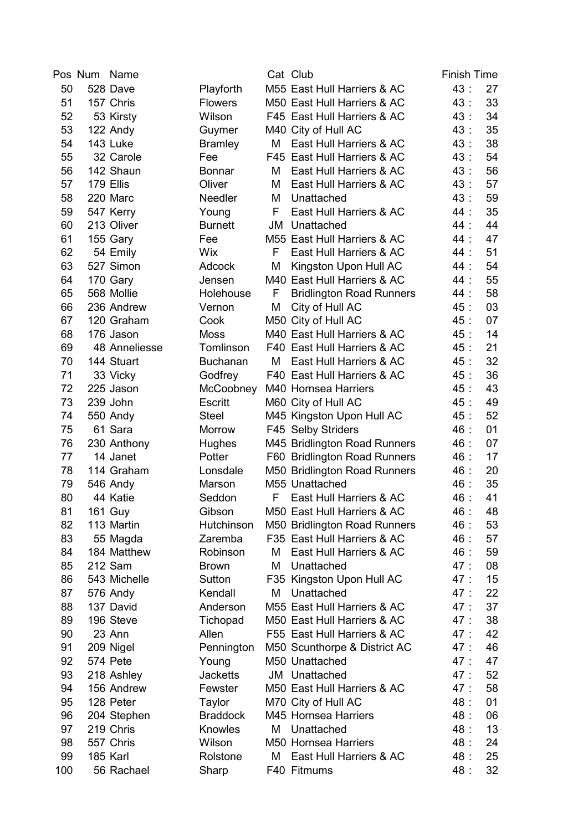|     | Pos Num | Name           |                 |    | Cat Club                        | <b>Finish Time</b> |    |
|-----|---------|----------------|-----------------|----|---------------------------------|--------------------|----|
| 50  |         | 528 Dave       | Playforth       |    | M55 East Hull Harriers & AC     | 43:                | 27 |
| 51  |         | 157 Chris      | <b>Flowers</b>  |    | M50 East Hull Harriers & AC     | 43:                | 33 |
| 52  |         | 53 Kirsty      | Wilson          |    | F45 East Hull Harriers & AC     | 43:                | 34 |
| 53  |         | 122 Andy       | Guymer          |    | M40 City of Hull AC             | 43:                | 35 |
| 54  |         | 143 Luke       | <b>Bramley</b>  | М  | East Hull Harriers & AC         | 43:                | 38 |
| 55  |         | 32 Carole      | Fee             |    | F45 East Hull Harriers & AC     | 43:                | 54 |
| 56  |         | 142 Shaun      | <b>Bonnar</b>   | М  | East Hull Harriers & AC         | 43:                | 56 |
| 57  |         | 179 Ellis      | Oliver          | М  | East Hull Harriers & AC         | 43:                | 57 |
| 58  |         | 220 Marc       | Needler         | M  | Unattached                      | 43:                | 59 |
| 59  |         | 547 Kerry      | Young           | F  | East Hull Harriers & AC         | 44 :               | 35 |
| 60  |         | 213 Oliver     | <b>Burnett</b>  | JM | Unattached                      | 44 :               | 44 |
| 61  |         | 155 Gary       | Fee             |    | M55 East Hull Harriers & AC     | 44 :               | 47 |
| 62  |         | 54 Emily       | <b>Wix</b>      | F  | East Hull Harriers & AC         | 44:                | 51 |
| 63  |         | 527 Simon      | <b>Adcock</b>   | М  | Kingston Upon Hull AC           | 44 :               | 54 |
| 64  |         | 170 Gary       | Jensen          |    | M40 East Hull Harriers & AC     | 44 :               | 55 |
| 65  |         | 568 Mollie     | Holehouse       | F  | <b>Bridlington Road Runners</b> | 44 :               | 58 |
| 66  |         | 236 Andrew     | Vernon          | M  | City of Hull AC                 | 45 :               | 03 |
| 67  |         | 120 Graham     | Cook            |    | M50 City of Hull AC             | 45 :               | 07 |
| 68  |         | 176 Jason      | <b>Moss</b>     |    | M40 East Hull Harriers & AC     | 45:                | 14 |
| 69  |         | 48 Anneliesse  | Tomlinson       |    | F40 East Hull Harriers & AC     | 45:                | 21 |
| 70  |         | 144 Stuart     | <b>Buchanan</b> | М  | East Hull Harriers & AC         | 45:                | 32 |
| 71  |         | 33 Vicky       | Godfrey         |    | F40 East Hull Harriers & AC     | 45:                | 36 |
| 72  |         | 225 Jason      | McCoobney       |    | M40 Hornsea Harriers            | 45 :               | 43 |
| 73  |         | 239 John       | Escritt         |    | M60 City of Hull AC             | 45:                | 49 |
| 74  |         | 550 Andy       | <b>Steel</b>    |    | M45 Kingston Upon Hull AC       | 45:                | 52 |
| 75  |         | 61 Sara        | <b>Morrow</b>   |    | F45 Selby Striders              | 46 :               | 01 |
| 76  |         | 230 Anthony    | <b>Hughes</b>   |    | M45 Bridlington Road Runners    | 46:                | 07 |
| 77  |         | 14 Janet       | Potter          |    | F60 Bridlington Road Runners    | 46:                | 17 |
| 78  |         | 114 Graham     | Lonsdale        |    | M50 Bridlington Road Runners    | 46:                | 20 |
| 79  |         | 546 Andy       | Marson          |    | M55 Unattached                  | 46 :               | 35 |
| 80  |         | 44 Katie       | Seddon          | F  | East Hull Harriers & AC         | 46 :               | 41 |
| 81  |         | <b>161 Guy</b> | Gibson          |    | M50 East Hull Harriers & AC     | 46 :               | 48 |
| 82  |         | 113 Martin     | Hutchinson      |    | M50 Bridlington Road Runners    | 46:                | 53 |
| 83  |         | 55 Magda       | Zaremba         |    | F35 East Hull Harriers & AC     | 46:                | 57 |
| 84  |         | 184 Matthew    | Robinson        | М  | East Hull Harriers & AC         | 46 :               | 59 |
| 85  |         | 212 Sam        | <b>Brown</b>    | M  | Unattached                      | 47:                | 08 |
| 86  |         | 543 Michelle   | Sutton          |    | F35 Kingston Upon Hull AC       | 47:                | 15 |
| 87  |         | 576 Andy       | Kendall         | М  | Unattached                      | 47:                | 22 |
| 88  |         | 137 David      | Anderson        |    | M55 East Hull Harriers & AC     | 47:                | 37 |
| 89  |         | 196 Steve      | Tichopad        |    | M50 East Hull Harriers & AC     | 47:                | 38 |
| 90  |         | 23 Ann         | Allen           |    | F55 East Hull Harriers & AC     | 47:                | 42 |
| 91  |         | 209 Nigel      | Pennington      |    | M50 Scunthorpe & District AC    | 47:                | 46 |
| 92  |         | 574 Pete       | Young           |    | M50 Unattached                  | 47:                | 47 |
| 93  |         | 218 Ashley     | <b>Jacketts</b> |    | <b>JM</b> Unattached            | 47:                | 52 |
| 94  |         | 156 Andrew     | Fewster         |    | M50 East Hull Harriers & AC     | 47:                | 58 |
| 95  |         | 128 Peter      | Taylor          |    | M70 City of Hull AC             | 48:                | 01 |
| 96  |         | 204 Stephen    | <b>Braddock</b> |    | M45 Hornsea Harriers            | 48 :               | 06 |
| 97  |         | 219 Chris      | Knowles         | Μ  | Unattached                      | 48 :               | 13 |
| 98  |         | 557 Chris      | Wilson          |    | M50 Hornsea Harriers            | 48:                | 24 |
| 99  |         | 185 Karl       | Rolstone        | М  | East Hull Harriers & AC         | 48 :               | 25 |
| 100 |         | 56 Rachael     | Sharp           |    | F40 Fitmums                     | 48:                | 32 |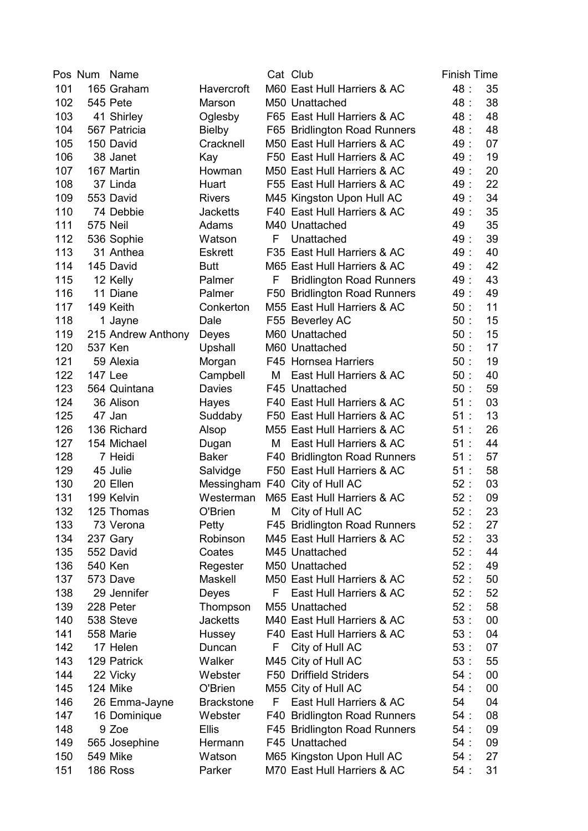|     | Pos Num | Name               |                   |    | Cat Club                        | <b>Finish Time</b> |        |
|-----|---------|--------------------|-------------------|----|---------------------------------|--------------------|--------|
| 101 |         | 165 Graham         | Havercroft        |    | M60 East Hull Harriers & AC     | 48 :               | 35     |
| 102 |         | 545 Pete           | Marson            |    | M50 Unattached                  | 48 :               | 38     |
| 103 |         | 41 Shirley         | Oglesby           |    | F65 East Hull Harriers & AC     | 48 :               | 48     |
| 104 |         | 567 Patricia       | <b>Bielby</b>     |    | F65 Bridlington Road Runners    | 48 :               | 48     |
| 105 |         | 150 David          | Cracknell         |    | M50 East Hull Harriers & AC     | 49:                | 07     |
| 106 |         | 38 Janet           | Kay               |    | F50 East Hull Harriers & AC     | 49:                | 19     |
| 107 |         | 167 Martin         | Howman            |    | M50 East Hull Harriers & AC     | 49:                | 20     |
| 108 |         | 37 Linda           | Huart             |    | F55 East Hull Harriers & AC     | 49:                | 22     |
| 109 |         | 553 David          | <b>Rivers</b>     |    | M45 Kingston Upon Hull AC       | 49 :               | 34     |
| 110 |         | 74 Debbie          | <b>Jacketts</b>   |    | F40 East Hull Harriers & AC     | 49:                | 35     |
| 111 |         | <b>575 Neil</b>    | Adams             |    | M40 Unattached                  | 49                 | 35     |
| 112 |         | 536 Sophie         | Watson            | F  | Unattached                      | 49:                | 39     |
| 113 |         | 31 Anthea          | <b>Eskrett</b>    |    | F35 East Hull Harriers & AC     | 49:                | 40     |
| 114 |         | 145 David          | <b>Butt</b>       |    | M65 East Hull Harriers & AC     | 49:                | 42     |
| 115 |         | 12 Kelly           | Palmer            | F  | <b>Bridlington Road Runners</b> | 49:                | 43     |
| 116 |         | 11 Diane           | Palmer            |    | F50 Bridlington Road Runners    | 49:                | 49     |
| 117 |         | 149 Keith          | Conkerton         |    | M55 East Hull Harriers & AC     | 50:                | 11     |
| 118 |         | 1 Jayne            | Dale              |    | F55 Beverley AC                 | 50:                | 15     |
| 119 |         | 215 Andrew Anthony | Deyes             |    | M60 Unattached                  | 50:                | 15     |
| 120 |         | 537 Ken            | Upshall           |    | M60 Unattached                  | 50:                | 17     |
| 121 |         | 59 Alexia          | Morgan            |    | F45 Hornsea Harriers            | 50:                | 19     |
| 122 |         | 147 Lee            | Campbell          | Μ  | East Hull Harriers & AC         | 50:                | 40     |
| 123 |         | 564 Quintana       | Davies            |    | F45 Unattached                  | 50:                | 59     |
| 124 |         | 36 Alison          | Hayes             |    | F40 East Hull Harriers & AC     | 51:                | 03     |
| 125 |         | 47 Jan             | Suddaby           |    | F50 East Hull Harriers & AC     | 51:                | 13     |
| 126 |         | 136 Richard        | Alsop             |    | M55 East Hull Harriers & AC     | 51:                | 26     |
| 127 |         | 154 Michael        | Dugan             | М  | East Hull Harriers & AC         | 51:                | 44     |
| 128 |         | 7 Heidi            | <b>Baker</b>      |    | F40 Bridlington Road Runners    | 51:                | 57     |
| 129 |         | 45 Julie           | Salvidge          |    | F50 East Hull Harriers & AC     | 51:                | 58     |
| 130 |         | 20 Ellen           | Messingham        |    | F40 City of Hull AC             | 52:                | 03     |
| 131 |         | 199 Kelvin         | Westerman         |    | M65 East Hull Harriers & AC     | 52:                | 09     |
| 132 |         | 125 Thomas         | O'Brien           |    | M City of Hull AC               | 52:                | 23     |
| 133 |         | 73 Verona          | Petty             |    | F45 Bridlington Road Runners    | 52:                | 27     |
| 134 |         | 237 Gary           | Robinson          |    | M45 East Hull Harriers & AC     | 52:                | 33     |
| 135 |         | 552 David          | Coates            |    | M45 Unattached                  | 52:                | 44     |
| 136 |         | 540 Ken            | Regester          |    | M50 Unattached                  | 52:                | 49     |
| 137 |         | 573 Dave           | Maskell           |    | M50 East Hull Harriers & AC     | 52:                | 50     |
| 138 |         | 29 Jennifer        | Deyes             | F. | East Hull Harriers & AC         | 52:                | 52     |
| 139 |         | 228 Peter          | Thompson          |    | M55 Unattached                  | 52:                | 58     |
| 140 |         | 538 Steve          | <b>Jacketts</b>   |    | M40 East Hull Harriers & AC     | 53:                | 00     |
| 141 |         | 558 Marie          | <b>Hussey</b>     |    | F40 East Hull Harriers & AC     | 53:                | 04     |
| 142 |         | 17 Helen           | Duncan            | F  | City of Hull AC                 | 53:                | 07     |
| 143 |         | 129 Patrick        | Walker            |    | M45 City of Hull AC             | 53:                | 55     |
| 144 |         | 22 Vicky           | Webster           |    | F50 Driffield Striders          | 54:                | $00\,$ |
| 145 |         | 124 Mike           | O'Brien           |    | M55 City of Hull AC             | 54:                | 00     |
| 146 |         | 26 Emma-Jayne      | <b>Brackstone</b> | F  | East Hull Harriers & AC         | 54                 | 04     |
| 147 |         | 16 Dominique       | Webster           |    | F40 Bridlington Road Runners    | 54:                | 08     |
| 148 |         | 9 Zoe              | <b>Ellis</b>      |    | F45 Bridlington Road Runners    | 54:                | 09     |
| 149 |         | 565 Josephine      | Hermann           |    | F45 Unattached                  | 54:                | 09     |
| 150 |         | 549 Mike           | Watson            |    | M65 Kingston Upon Hull AC       | 54:                | 27     |
| 151 |         | 186 Ross           | Parker            |    | M70 East Hull Harriers & AC     | 54:                | 31     |